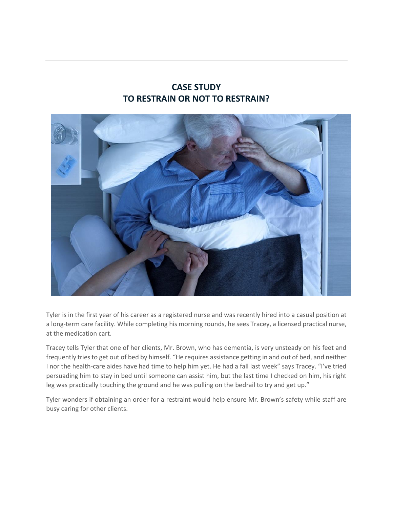## **CASE STUDY TO RESTRAIN OR NOT TO RESTRAIN?**



Tyler is in the first year of his career as a registered nurse and was recently hired into a casual position at a long-term care facility. While completing his morning rounds, he sees Tracey, a licensed practical nurse, at the medication cart.

Tracey tells Tyler that one of her clients, Mr. Brown, who has dementia, is very unsteady on his feet and frequently tries to get out of bed by himself. "He requires assistance getting in and out of bed, and neither I nor the health-care aides have had time to help him yet. He had a fall last week" says Tracey. "I've tried persuading him to stay in bed until someone can assist him, but the last time I checked on him, his right leg was practically touching the ground and he was pulling on the bedrail to try and get up."

Tyler wonders if obtaining an order for a restraint would help ensure Mr. Brown's safety while staff are busy caring for other clients.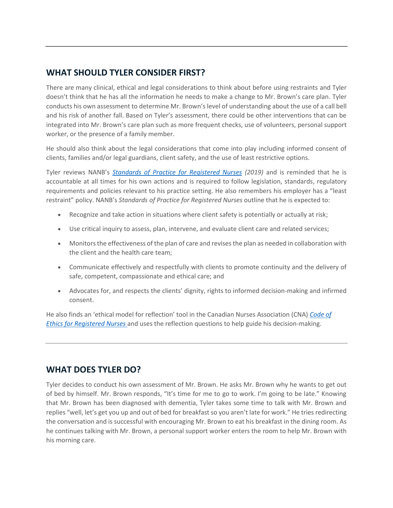## **WHAT SHOULD TYLER CONSIDER FIRST?**

There are many clinical, ethical and legal considerations to think about before using restraints and Tyler doesn't think that he has all the information he needs to make a change to Mr. Brown's care plan. Tyler conducts his own assessment to determine Mr. Brown's level of understanding about the use of a call bell and his risk of another fall. Based on Tyler's assessment, there could be other interventions that can be integrated into Mr. Brown's care plan such as more frequent checks, use of volunteers, personal support worker, or the presence of a family member.

He should also think about the legal considerations that come into play including informed consent of clients, families and/or legal guardians, client safety, and the use of least restrictive options.

Tyler reviews NANB's *[Standards of Practice for Registered Nurses](http://www.nanb.nb.ca/practice/standards) (2019)* and is reminded that he is accountable at all times for his own actions and is required to follow legislation, standards, regulatory requirements and policies relevant to his practice setting. He also remembers his employer has a "least restraint" policy. NANB's *Standards of Practice for Registered Nurses* outline that he is expected to:

- Recognize and take action in situations where client safety is potentially or actually at risk;
- Use critical inquiry to assess, plan, intervene, and evaluate client care and related services;
- Monitors the effectiveness of the plan of care and revises the plan as needed in collaboration with the client and the health care team;
- Communicate effectively and respectfully with clients to promote continuity and the delivery of safe, competent, compassionate and ethical care; and
- Advocates for, and respects the clients' dignity, rights to informed decision-making and infirmed consent.

He also finds an 'ethical model for reflection' tool in the Canadian Nurses Association (CNA) *[Code of](https://www.cna-aiic.ca/en/nursing-practice/nursing-ethics)  [Ethics for Registered Nurses](https://www.cna-aiic.ca/en/nursing-practice/nursing-ethics)* and uses the reflection questions to help guide his decision-making.

## **WHAT DOES TYLER DO?**

Tyler decides to conduct his own assessment of Mr. Brown. He asks Mr. Brown why he wants to get out of bed by himself. Mr. Brown responds, "It's time for me to go to work. I'm going to be late." Knowing that Mr. Brown has been diagnosed with dementia, Tyler takes some time to talk with Mr. Brown and replies "well, let's get you up and out of bed for breakfast so you aren't late for work." He tries redirecting the conversation and is successful with encouraging Mr. Brown to eat his breakfast in the dining room. As he continues talking with Mr. Brown, a personal support worker enters the room to help Mr. Brown with his morning care.